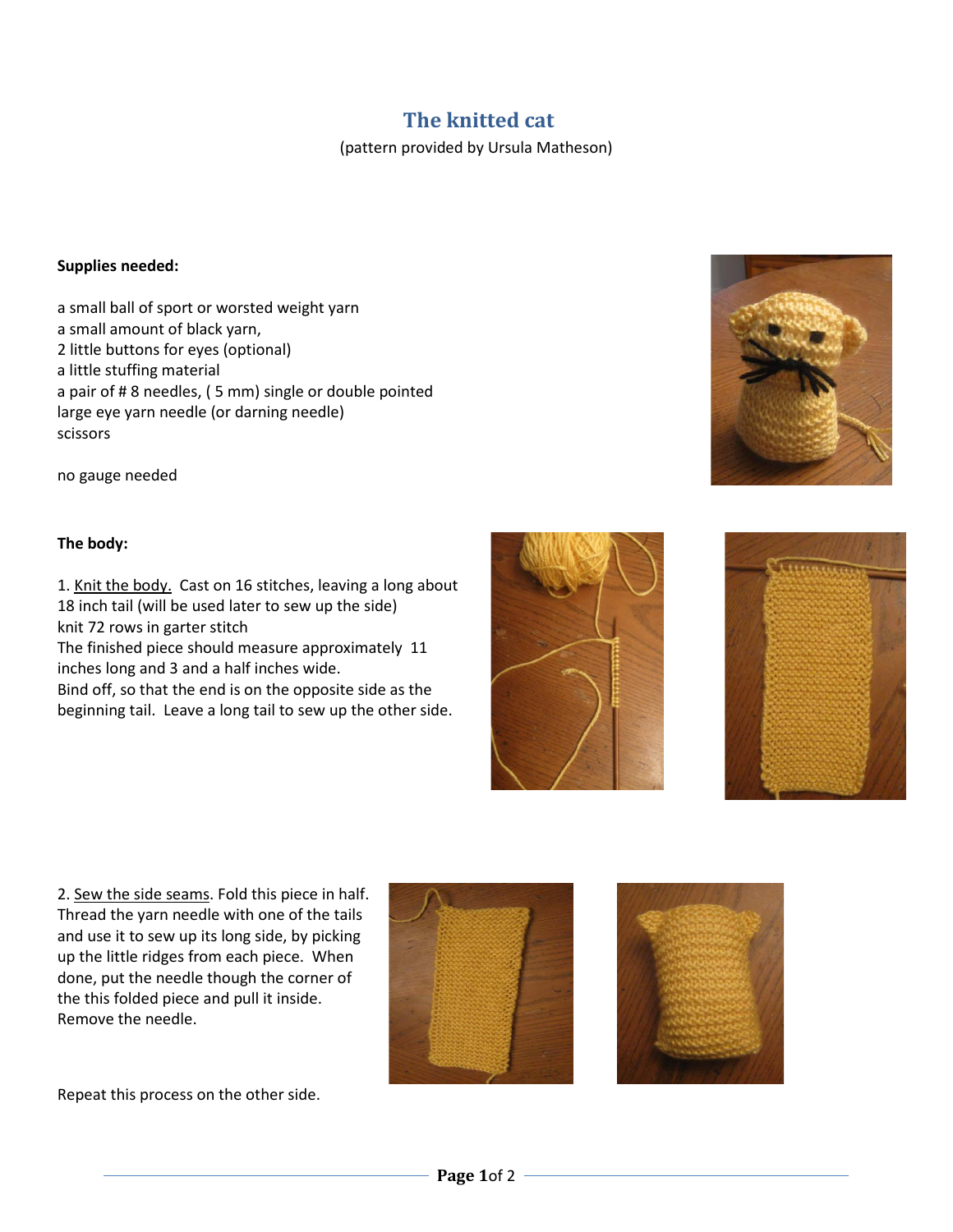## **The knitted cat**

(pattern provided by Ursula Matheson)

## **Supplies needed:**

a small ball of sport or worsted weight yarn a small amount of black yarn, 2 little buttons for eyes (optional) a little stuffing material a pair of # 8 needles, ( 5 mm) single or double pointed large eye yarn needle (or darning needle) scissors

no gauge needed

## **The body:**

1. Knit the body. Cast on 16 stitches, leaving a long about 18 inch tail (will be used later to sew up the side) knit 72 rows in garter stitch The finished piece should measure approximately 11 inches long and 3 and a half inches wide. Bind off, so that the end is on the opposite side as the

beginning tail. Leave a long tail to sew up the other side.







2. Sew the side seams. Fold this piece in half. Thread the yarn needle with one of the tails and use it to sew up its long side, by picking up the little ridges from each piece. When done, put the needle though the corner of the this folded piece and pull it inside. Remove the needle.





Repeat this process on the other side.